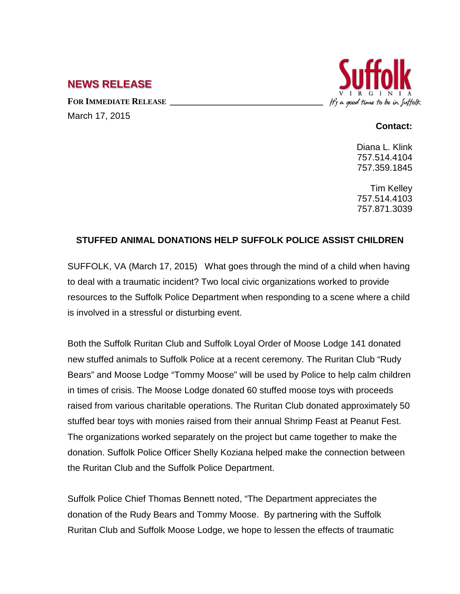## **NEWS RELEASE**

FOR **IMMEDIATE RELEASE** March 17, 2015



## **Contact:**

Diana L. Klink 757.514.4104 757.359.1845

Tim Kelley 757.514.4103 757.871.3039

## **STUFFED ANIMAL DONATIONS HELP SUFFOLK POLICE ASSIST CHILDREN**

SUFFOLK, VA (March 17, 2015) What goes through the mind of a child when having to deal with a traumatic incident? Two local civic organizations worked to provide resources to the Suffolk Police Department when responding to a scene where a child is involved in a stressful or disturbing event.

Both the Suffolk Ruritan Club and Suffolk Loyal Order of Moose Lodge 141 donated new stuffed animals to Suffolk Police at a recent ceremony. The Ruritan Club "Rudy Bears" and Moose Lodge "Tommy Moose" will be used by Police to help calm children in times of crisis. The Moose Lodge donated 60 stuffed moose toys with proceeds raised from various charitable operations. The Ruritan Club donated approximately 50 stuffed bear toys with monies raised from their annual Shrimp Feast at Peanut Fest. The organizations worked separately on the project but came together to make the donation. Suffolk Police Officer Shelly Koziana helped make the connection between the Ruritan Club and the Suffolk Police Department.

Suffolk Police Chief Thomas Bennett noted, "The Department appreciates the donation of the Rudy Bears and Tommy Moose. By partnering with the Suffolk Ruritan Club and Suffolk Moose Lodge, we hope to lessen the effects of traumatic